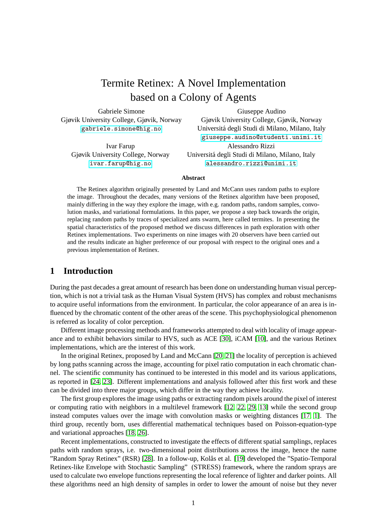# Termite Retinex: A Novel Implementation based on a Colony of Agents

Gabriele Simone Gjøvik University College, Gjøvik, Norway <gabriele.simone@hig.no>

Ivar Farup Gjøvik University College, Norway <ivar.farup@hig.no>

Giuseppe Audino Gjøvik University College, Gjøvik, Norway Universita degli Studi di Milano, Milano, Italy ´ <giuseppe.audino@studenti.unimi.it> Alessandro Rizzi Universita degli Studi di Milano, Milano, Italy ´ <alessandro.rizzi@unimi.it>

### **Abstract**

The Retinex algorithm originally presented by Land and McCann uses random paths to explore the image. Throughout the decades, many versions of the Retinex algorithm have been proposed, mainly differing in the way they explore the image, with e.g. random paths, random samples, convolution masks, and variational formulations. In this paper, we propose a step back towards the origin, replacing random paths by traces of specialized ants swarm, here called termites. In presenting the spatial characteristics of the proposed method we discuss differences in path exploration with other Retinex implementations. Two experiments on nine images with 20 observers have been carried out and the results indicate an higher preference of our proposal with respect to the original ones and a previous implementation of Retinex.

## **1 Introduction**

During the past decades a great amount of research has been done on understanding human visual perception, which is not a trivial task as the Human Visual System (HVS) has complex and robust mechanisms to acquire useful informations from the environment. In particular, the color appearance of an area is influenced by the chromatic content of the other areas of the scene. This psychophysiological phenomenon is referred as locality of color perception.

Different image processing methods and frameworks attempted to deal with locality of image appearance and to exhibit behaviors similar to HVS, such as ACE [\[30\]](#page-10-0), iCAM [\[10\]](#page-8-0), and the various Retinex implementations, which are the interest of this work.

In the original Retinex, proposed by Land and McCann [\[20,](#page-10-1) [21\]](#page-10-2) the locality of perception is achieved by long paths scanning across the image, accounting for pixel ratio computation in each chromatic channel. The scientific community has continued to be interested in this model and its various applications, as reported in [\[24,](#page-10-3) [23\]](#page-10-4). Different implementations and analysis followed after this first work and these can be divided into three major groups, which differ in the way they achieve locality.

The first group explores the image using paths or extracting random pixels around the pixel of interest or computing ratio with neighbors in a multilevel framework [\[12,](#page-8-1) [22,](#page-10-5) [29,](#page-10-6) [13\]](#page-8-2) while the second group instead computes values over the image with convolution masks or weighting distances [\[17,](#page-10-7) [1\]](#page-7-0). The third group, recently born, uses differential mathematical techniques based on Poisson-equation-type and variational approaches [\[18,](#page-10-8) [26\]](#page-10-9).

Recent implementations, constructed to investigate the effects of different spatial samplings, replaces paths with random sprays, i.e. two-dimensional point distributions across the image, hence the name "Random Spray Retinex" (RSR) [\[28\]](#page-10-10). In a follow-up, Kolås et al. [\[19\]](#page-10-11) developed the "Spatio-Temporal Retinex-like Envelope with Stochastic Sampling" (STRESS) framework, where the random sprays are used to calculate two envelope functions representing the local reference of lighter and darker points. All these algorithms need an high density of samples in order to lower the amount of noise but they never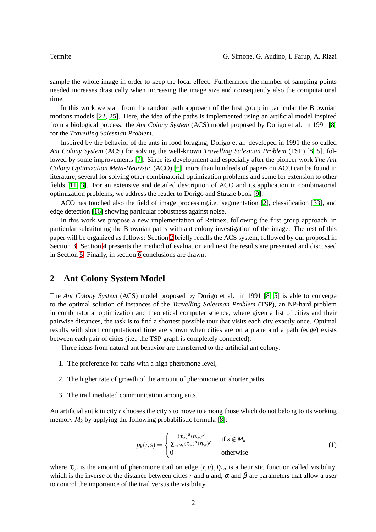sample the whole image in order to keep the local effect. Furthermore the number of sampling points needed increases drastically when increasing the image size and consequently also the computational time.

In this work we start from the random path approach of the first group in particular the Brownian motions models [\[22,](#page-10-5) [25\]](#page-10-12). Here, the idea of the paths is implemented using an artificial model inspired from a biological process: the *Ant Colony System* (ACS) model proposed by Dorigo et al. in 1991 [\[8\]](#page-7-1) for the *Travelling Salesman Problem*.

Inspired by the behavior of the ants in food foraging, Dorigo et al. developed in 1991 the so called *Ant Colony System* (ACS) for solving the well-known *Travelling Salesman Problem* (TSP) [\[8,](#page-7-1) [5\]](#page-7-2), followed by some improvements [\[7\]](#page-7-3). Since its development and especially after the pioneer work *The Ant Colony Optimization Meta-Heuristic* (ACO) [\[6\]](#page-7-4), more than hundreds of papers on ACO can be found in literature, several for solving other combinatorial optimization problems and some for extension to other fields [\[11,](#page-8-3) [3\]](#page-7-5). For an extensive and detailed description of ACO and its application in combinatorial optimization problems, we address the reader to Dorigo and Stützle book [\[9\]](#page-8-4).

ACO has touched also the field of image processing,i.e. segmentation [\[2\]](#page-7-6), classification [\[33\]](#page-10-13), and edge detection [\[16\]](#page-10-14) showing particular robustness against noise.

In this work we propose a new implementation of Retinex, following the first group approach, in particular substituting the Brownian paths with ant colony investigation of the image. The rest of this paper will be organized as follows: Section [2](#page-1-0) briefly recalls the ACS system, followed by our proposal in Section [3.](#page-2-0) Section [4](#page-3-0) presents the method of evaluation and next the results are presented and discussed in Section [5.](#page-4-0) Finally, in section [6](#page-5-0) conclusions are drawn.

# <span id="page-1-0"></span>**2 Ant Colony System Model**

The *Ant Colony System* (ACS) model proposed by Dorigo et al. in 1991 [\[8,](#page-7-1) [5\]](#page-7-2) is able to converge to the optimal solution of instances of the *Travelling Salesman Problem* (TSP), an NP-hard problem in combinatorial optimization and theoretical computer science, where given a list of cities and their pairwise distances, the task is to find a shortest possible tour that visits each city exactly once. Optimal results with short computational time are shown when cities are on a plane and a path (edge) exists between each pair of cities (i.e., the TSP graph is completely connected).

Three ideas from natural ant behavior are transferred to the artificial ant colony:

- 1. The preference for paths with a high pheromone level,
- 2. The higher rate of growth of the amount of pheromone on shorter paths,
- 3. The trail mediated communication among ants.

An artificial ant *k* in city *r* chooses the city *s* to move to among those which do not belong to its working memory  $M_k$  by applying the following probabilistic formula [\[8\]](#page-7-1):

$$
p_k(r,s) = \begin{cases} \frac{(\tau_{r,s})^{\alpha}(\eta_{r,u})^{\beta}}{\sum_{u \notin M_k} (\tau_{r,u})^{\alpha}(\eta_{r,u})^{\beta}} & \text{if } s \notin M_k \\ 0 & \text{otherwise} \end{cases}
$$
(1)

where  $\tau_{r,u}$  is the amount of pheromone trail on edge  $(r,u)$ ,  $\eta_{r,u}$  is a heuristic function called visibility, which is the inverse of the distance between cities *r* and *u* and,  $\alpha$  and  $\beta$  are parameters that allow a user to control the importance of the trail versus the visibility.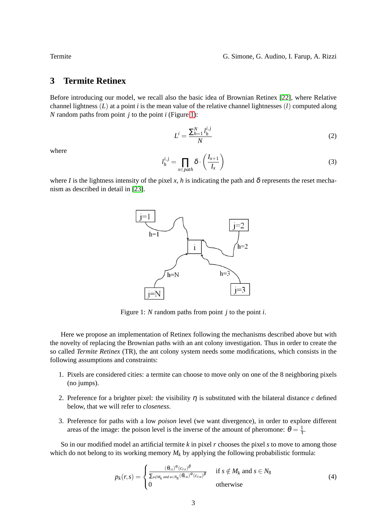# <span id="page-2-0"></span>**3 Termite Retinex**

Before introducing our model, we recall also the basic idea of Brownian Retinex [\[22\]](#page-10-5), where Relative channel lightness (*L*) at a point *i* is the mean value of the relative channel lightnesses (*l*) computed along *N* random paths from point *j* to the point *i* (Figure [1\)](#page-2-1):

$$
L^i = \frac{\sum_{h=1}^N l_h^{i,j}}{N} \tag{2}
$$

where

$$
J_h^{i,j} = \prod_{x \in path} \delta \cdot \left(\frac{I_{x+1}}{I_x}\right) \tag{3}
$$

where *I* is the lightness intensity of the pixel *x*, *h* is indicating the path and  $\delta$  represents the reset mechanism as described in detail in [\[23\]](#page-10-4).

*l*



<span id="page-2-1"></span>Figure 1: *N* random paths from point *j* to the point *i*.

Here we propose an implementation of Retinex following the mechanisms described above but with the novelty of replacing the Brownian paths with an ant colony investigation. Thus in order to create the so called *Termite Retinex* (TR), the ant colony system needs some modifications, which consists in the following assumptions and constraints:

- 1. Pixels are considered cities: a termite can choose to move only on one of the 8 neighboring pixels (no jumps).
- 2. Preference for a brighter pixel: the visibility  $\eta$  is substituted with the bilateral distance  $c$  defined below, that we will refer to *closeness*.
- 3. Preference for paths with a low *poison* level (we want divergence), in order to explore different areas of the image: the poison level is the inverse of the amount of pheromone:  $\theta = \frac{1}{\tau}$ .

So in our modified model an artificial termite *k* in pixel *r* chooses the pixel *s* to move to among those which do not belong to its working memory  $M_k$  by applying the following probabilistic formula:

$$
p_k(r,s) = \begin{cases} \frac{(\theta_{r,s})^{\alpha} (c_{r,s})^{\beta}}{\sum_{u \notin M_k \ and \ u \in N_8} (\theta_{r,u})^{\alpha} (c_{r,u})^{\beta}} & \text{if } s \notin M_k \text{ and } s \in N_8\\ 0 & \text{otherwise} \end{cases}
$$
(4)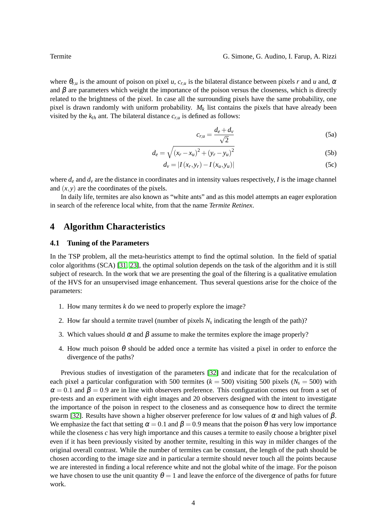where  $\theta_{r,u}$  is the amount of poison on pixel *u*,  $c_{r,u}$  is the bilateral distance between pixels *r* and *u* and,  $\alpha$ and  $\beta$  are parameters which weight the importance of the poison versus the closeness, which is directly related to the brightness of the pixel. In case all the surrounding pixels have the same probability, one pixel is drawn randomly with uniform probability.  $M_k$  list contains the pixels that have already been visited by the  $k_{th}$  ant. The bilateral distance  $c_{r,u}$  is defined as follows:

$$
c_{r,u} = \frac{d_e + d_v}{\sqrt{2}}\tag{5a}
$$

$$
d_e = \sqrt{(x_r - x_u)^2 + (y_r - y_u)^2}
$$
 (5b)

$$
d_{v} = |I(x_{r}, y_{r}) - I(x_{u}, y_{u})|
$$
 (5c)

where  $d_e$  and  $d_v$  are the distance in coordinates and in intensity values respectively, *I* is the image channel and  $(x, y)$  are the coordinates of the pixels.

In daily life, termites are also known as "white ants" and as this model attempts an eager exploration in search of the reference local white, from that the name *Termite Retinex*.

# <span id="page-3-0"></span>**4 Algorithm Characteristics**

### **4.1 Tuning of the Parameters**

In the TSP problem, all the meta-heuristics attempt to find the optimal solution. In the field of spatial color algorithms (SCA) [\[31,](#page-10-15) [23\]](#page-10-4), the optimal solution depends on the task of the algorithm and it is still subject of research. In the work that we are presenting the goal of the filtering is a qualitative emulation of the HVS for an unsupervised image enhancement. Thus several questions arise for the choice of the parameters:

- 1. How many termites *k* do we need to properly explore the image?
- 2. How far should a termite travel (number of pixels  $N_s$  indicating the length of the path)?
- 3. Which values should  $\alpha$  and  $\beta$  assume to make the termites explore the image properly?
- 4. How much poison  $\theta$  should be added once a termite has visited a pixel in order to enforce the divergence of the paths?

Previous studies of investigation of the parameters [\[32\]](#page-10-16) and indicate that for the recalculation of each pixel a particular configuration with 500 termites ( $k = 500$ ) visiting 500 pixels ( $N_s = 500$ ) with  $\alpha = 0.1$  and  $\beta = 0.9$  are in line with observers preference. This configuration comes out from a set of pre-tests and an experiment with eight images and 20 observers designed with the intent to investigate the importance of the poison in respect to the closeness and as consequence how to direct the termite swarm [\[32\]](#page-10-16). Results have shown a higher observer preference for low values of  $\alpha$  and high values of  $\beta$ . We emphasize the fact that setting  $\alpha = 0.1$  and  $\beta = 0.9$  means that the poison  $\theta$  has very low importance while the closeness *c* has very high importance and this causes a termite to easily choose a brighter pixel even if it has been previously visited by another termite, resulting in this way in milder changes of the original overall contrast. While the number of termites can be constant, the length of the path should be chosen according to the image size and in particular a termite should never touch all the points because we are interested in finding a local reference white and not the global white of the image. For the poison we have chosen to use the unit quantity  $\theta = 1$  and leave the enforce of the divergence of paths for future work.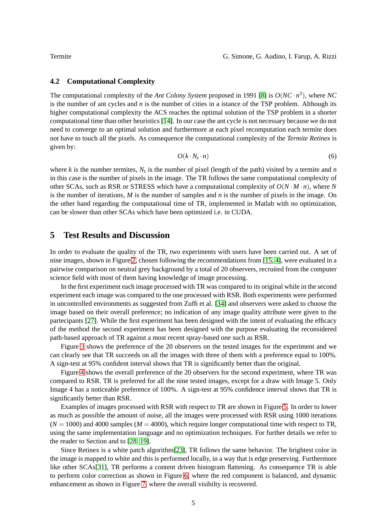### **4.2 Computational Complexity**

The computational complexity of the *Ant Colony System* proposed in 1991 [\[8\]](#page-7-1) is *O*(*NC* · *n* 3 ), where *NC* is the number of ant cycles and *n* is the number of cities in a istance of the TSP problem. Although its higher computational complexity the ACS reaches the optimal solution of the TSP problem in a shorter computational time than other heuristics [\[14\]](#page-8-5). In our case the ant cycle is not necessary because we do not need to converge to an optimal solution and furthermore at each pixel recomputation each termite does not have to touch all the pixels. As consequence the computational complexity of the *Termite Retinex* is given by:

$$
O(k \cdot N_s \cdot n) \tag{6}
$$

where  $k$  is the number termites,  $N_s$  is the number of pixel (length of the path) visited by a termite and  $n$ in this case is the number of pixels in the image. The TR follows the same computational complexity of other SCAs, such as RSR or STRESS which have a computational complexity of  $O(N \cdot M \cdot n)$ , where N is the number of iterations, *M* is the number of samples and *n* is the number of pixels in the image. On the other hand regarding the computational time of TR, implemented in Matlab with no optimization, can be slower than other SCAs which have been optimized i.e. in CUDA.

# <span id="page-4-0"></span>**5 Test Results and Discussion**

In order to evaluate the quality of the TR, two experiments with users have been carried out. A set of nine images, shown in Figure [2,](#page-5-1) chosen following the recommendations from [\[15,](#page-8-6) [4\]](#page-7-7), were evaluated in a pairwise comparison on neutral grey background by a total of 20 observers, recruited from the computer science field with most of them having knowledge of image processing.

In the first experiment each image processed with TR was compared to its original while in the second experiment each image was compared to the one processed with RSR. Both experiments were performed in uncontrolled environments as suggested from Zuffi et al. [\[34\]](#page-10-17) and observers were asked to choose the image based on their overall preference; no indication of any image quality attribute were given to the partecipants [\[27\]](#page-10-18). While the first experiment has been designed with the intent of evaluating the efficacy of the method the second experiment has been designed with the purpose evaluating the reconsidered path-based approach of TR against a most recent spray-based one such as RSR.

Figure [3](#page-6-0) shows the preference of the 20 observers on the tested images for the experiment and we can clearly see that TR succeeds on all the images with three of them with a preference equal to 100%. A sign-test at 95% confident interval shows that TR is significantly better than the original.

Figure [4](#page-7-8) shows the overall preference of the 20 observers for the second experiment, where TR was compared to RSR. TR is preferred for all the nine tested images, except for a draw with Image 5. Only Image 4 has a noticeable preference of 100%. A sign-test at 95% confidence interval shows that TR is significantly better than RSR.

Examples of images processed with RSR with respect to TR are shown in Figure [5.](#page-8-7) In order to lower as much as possible the amount of noise, all the images were processed with RSR using 1000 iterations  $(N = 1000)$  and 4000 samples ( $M = 4000$ ), which require longer computational time with respect to TR, using the same implementation language and no optimization techniques. For further details we refer to the reader to Section and to [\[28,](#page-10-10) [19\]](#page-10-11).

Since Retinex is a white patch algorithm[\[23\]](#page-10-4), TR follows the same behavior. The brightest color in the image is mapped to white and this is performed locally, in a way that is edge preserving. Furthermore like other SCAs[\[31\]](#page-10-15), TR performs a content driven histogram flattening. As consequence TR is able to perform color correction as shown in Figure [6,](#page-9-0) where the red component is balanced, and dynamic enhancement as shown in Figure [7,](#page-9-1) where the overall visibilty is recovered.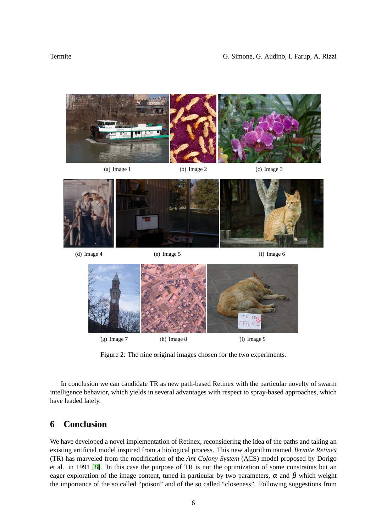

Figure 2: The nine original images chosen for the two experiments.

<span id="page-5-1"></span>In conclusion we can candidate TR as new path-based Retinex with the particular novelty of swarm intelligence behavior, which yields in several advantages with respect to spray-based approaches, which have leaded lately.

# <span id="page-5-0"></span>**6 Conclusion**

We have developed a novel implementation of Retinex, reconsidering the idea of the paths and taking an existing artificial model inspired from a biological process. This new algorithm named *Termite Retinex* (TR) has marveled from the modification of the *Ant Colony System* (ACS) model proposed by Dorigo et al. in 1991 [\[8\]](#page-7-1). In this case the purpose of TR is not the optimization of some constraints but an eager exploration of the image content, tuned in particular by two parameters,  $\alpha$  and  $\beta$  which weight the importance of the so called "poison" and of the so called "closeness". Following suggestions from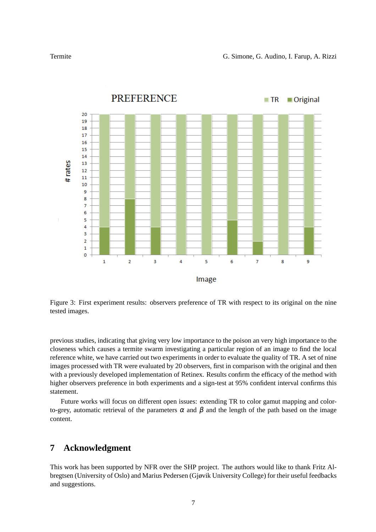

<span id="page-6-0"></span>Figure 3: First experiment results: observers preference of TR with respect to its original on the nine tested images.

previous studies, indicating that giving very low importance to the poison an very high importance to the closeness which causes a termite swarm investigating a particular region of an image to find the local reference white, we have carried out two experiments in order to evaluate the quality of TR. A set of nine images processed with TR were evaluated by 20 observers, first in comparison with the original and then with a previously developed implementation of Retinex. Results confirm the efficacy of the method with higher observers preference in both experiments and a sign-test at 95% confident interval confirms this statement.

Future works will focus on different open issues: extending TR to color gamut mapping and colorto-grey, automatic retrieval of the parameters  $\alpha$  and  $\beta$  and the length of the path based on the image content.

# **7 Acknowledgment**

This work has been supported by NFR over the SHP project. The authors would like to thank Fritz Albregtsen (University of Oslo) and Marius Pedersen (Gjøvik University College) for their useful feedbacks and suggestions.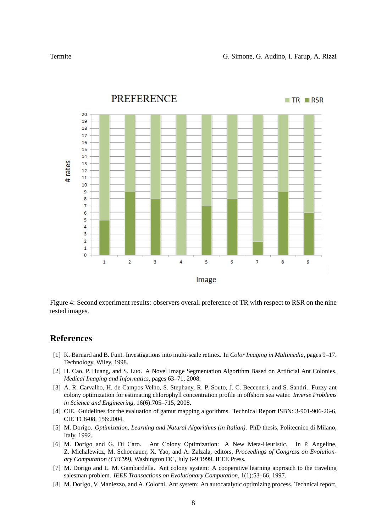

<span id="page-7-8"></span>Figure 4: Second experiment results: observers overall preference of TR with respect to RSR on the nine tested images.

### <span id="page-7-0"></span>**References**

- [1] K. Barnard and B. Funt. Investigations into multi-scale retinex. In *Color Imaging in Multimedia*, pages 9–17. Technology, Wiley, 1998.
- <span id="page-7-6"></span>[2] H. Cao, P. Huang, and S. Luo. A Novel Image Segmentation Algorithm Based on Artificial Ant Colonies. *Medical Imaging and Informatics*, pages 63–71, 2008.
- <span id="page-7-5"></span>[3] A. R. Carvalho, H. de Campos Velho, S. Stephany, R. P. Souto, J. C. Becceneri, and S. Sandri. Fuzzy ant colony optimization for estimating chlorophyll concentration profile in offshore sea water. *Inverse Problems in Science and Engineering*, 16(6):705–715, 2008.
- <span id="page-7-7"></span>[4] CIE. Guidelines for the evaluation of gamut mapping algorithms. Technical Report ISBN: 3-901-906-26-6, CIE TC8-08, 156:2004.
- <span id="page-7-2"></span>[5] M. Dorigo. *Optimization, Learning and Natural Algorithms (in Italian)*. PhD thesis, Politecnico di Milano, Italy, 1992.
- <span id="page-7-4"></span>[6] M. Dorigo and G. Di Caro. Ant Colony Optimization: A New Meta-Heuristic. In P. Angeline, Z. Michalewicz, M. Schoenauer, X. Yao, and A. Zalzala, editors, *Proceedings of Congress on Evolutionary Computation (CEC99)*, Washington DC, July 6-9 1999. IEEE Press.
- <span id="page-7-3"></span>[7] M. Dorigo and L. M. Gambardella. Ant colony system: A cooperative learning approach to the traveling salesman problem. *IEEE Transactions on Evolutionary Computation*, 1(1):53–66, 1997.
- <span id="page-7-1"></span>[8] M. Dorigo, V. Maniezzo, and A. Colorni. Ant system: An autocatalytic optimizing process. Technical report,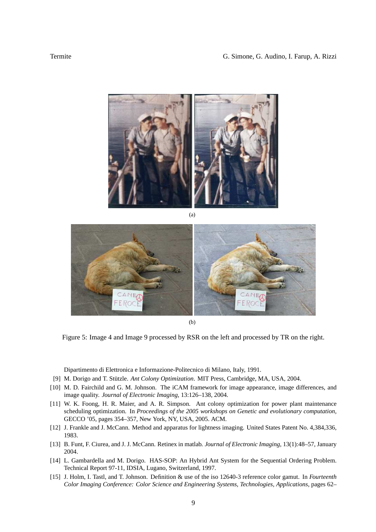

(a)



(b)

<span id="page-8-7"></span>Figure 5: Image 4 and Image 9 processed by RSR on the left and processed by TR on the right.

Dipartimento di Elettronica e Informazione-Politecnico di Milano, Italy, 1991.

- <span id="page-8-4"></span><span id="page-8-0"></span>[9] M. Dorigo and T. Stützle. Ant Colony Optimization. MIT Press, Cambridge, MA, USA, 2004.
- [10] M. D. Fairchild and G. M. Johnson. The iCAM framework for image appearance, image differences, and image quality. *Journal of Electronic Imaging*, 13:126–138, 2004.
- <span id="page-8-3"></span>[11] W. K. Foong, H. R. Maier, and A. R. Simpson. Ant colony optimization for power plant maintenance scheduling optimization. In *Proceedings of the 2005 workshops on Genetic and evolutionary computation*, GECCO '05, pages 354–357, New York, NY, USA, 2005. ACM.
- <span id="page-8-2"></span><span id="page-8-1"></span>[12] J. Frankle and J. McCann. Method and apparatus for lightness imaging. United States Patent No. 4,384,336, 1983.
- <span id="page-8-5"></span>[13] B. Funt, F. Ciurea, and J. J. McCann. Retinex in matlab. *Journal of Electronic Imaging*, 13(1):48–57, January 2004.
- [14] L. Gambardella and M. Dorigo. HAS-SOP: An Hybrid Ant System for the Sequential Ordering Problem. Technical Report 97-11, IDSIA, Lugano, Switzerland, 1997.
- <span id="page-8-6"></span>[15] J. Holm, I. Tastl, and T. Johnson. Definition & use of the iso 12640-3 reference color gamut. In *Fourteenth Color Imaging Conference: Color Science and Engineering Systems, Technologies, Applications*, pages 62–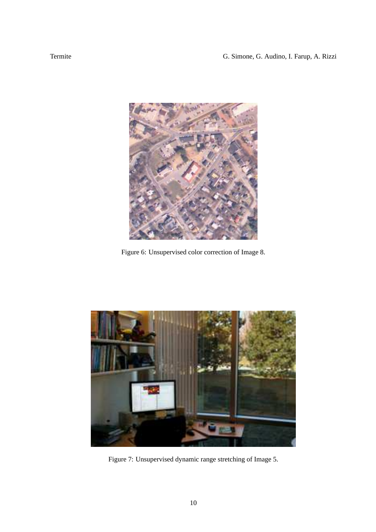

Figure 6: Unsupervised color correction of Image 8.

<span id="page-9-1"></span><span id="page-9-0"></span>

Figure 7: Unsupervised dynamic range stretching of Image 5.